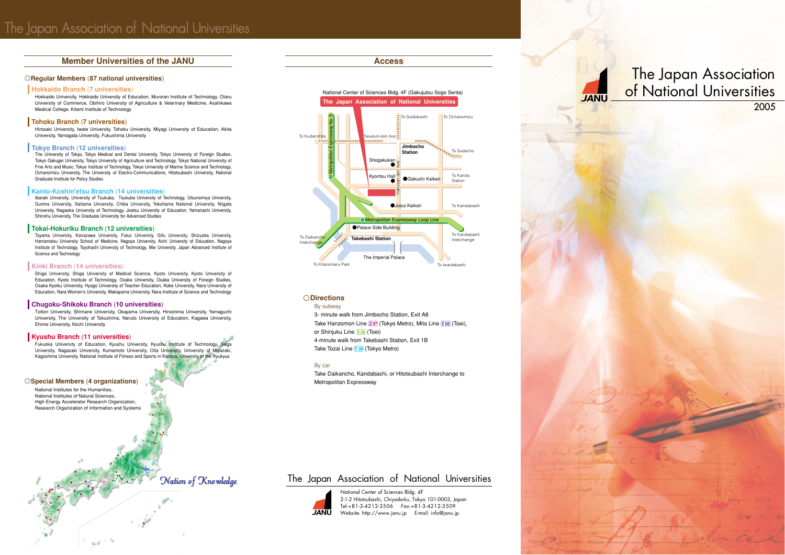## **Member Universities of the JANU <b>Access**

## ◎**Regular Members** (**87 national universities**)

National Institutes for the Humanities, National Institutes of Natural Sciences, High Energy Accelerator Research Organization, Research Organization of Information and Systems

## Nation of Knowledge

## **Hokkaido Branch** (**7 universities**)

Hokkaido University, Hokkaido University of Education, Muroran Institute of Technology, Otaru University of Commerce, Obihiro University of Agriculture & Veterinary Medicine, Asahikawa Medical College, Kitami Institute of Technology

## **Tohoku Branch** (**7 universities**)

Hirosaki University, Iwate University, Tohoku University, Miyagi University of Education, Akita University, Yamagata University, Fukushima University

## **Tokyo Branch** (**12 universities**)

Toyama University, Kanazawa University, Fukui University, Gifu University, Shizuoka University, Hamamatsu University School of Medicine, Nagoya University, Aichi University of Education, Nagoya Institute of Technology, Toyohashi University of Technology, Mie University, Japan Advanced Institute of Science and Technology

The University of Tokyo, Tokyo Medical and Dental University, Tokyo University of Foreign Studies, Tokyo Gakugei University, Tokyo University of Agriculture and Technology, Tokyo National University of Fine Arts and Music, Tokyo Institute of Technology, Tokyo University of Marine Science and Technology, Ochanomizu University, The University of Electro-Communications, Hitotsubashi University, National Graduate Institute for Policy Studies

## **Kanto-Koshin'etsu Branch** (**14 universities**)

Ibaraki University, University of Tsukuba, Tsukuba University of Technology, Utsunomiya University, Gunma University, Saitama University, Chiba University, Yokohama National University, Niigata University, Nagaoka University of Technology, Joetsu University of Education, Yamanashi University, Shinshu University, The Graduate University for Advanced Studies

Fukuoka University of Education, Kyushu University, Kyushu Institute of Technology, Saga University, Nagasaki University, Kumamoto University, Oita University, University of Miyazaki, Kagoshima University, National Institute of Fitness and Sports in Kanoya, University of the Ryukyus

# The Japan Association of National Universities 2005

3- minute walk from Jimbocho Station, Exit A8 Take Hanzomon Line  $(207)$  (Tokyo Metro), Mita Line  $(110)$  (Toei), or Shinjuku Line **[S06]</u>** (Toei) 4-minute walk from Takebashi Station, Exit 1B Take Tozai Line [T08] (Tokyo Metro)

## **Tokai-Hokuriku Branch** (**12 universities**)

## **Kinki Branch** (**14 universities**)

Shiga University, Shiga University of Medical Science, Kyoto University, Kyoto University of Education, Kyoto Institute of Technology, Osaka University, Osaka University of Foreign Studies, Osaka Kyoiku University, Hyogo University of Teacher Education, Kobe University, Nara University of Education, Nara Women's University, Wakayama University, Nara Institute of Science and Technology

## **Chugoku-Shikoku Branch** (**10 universities**)

Tottori University, Shimane University, Okayama University, Hiroshima University, Yamaguchi University, The University of Tokushima, Naruto University of Education, Kagawa University, Ehime University, Kochi University

### **Kyushu Branch** (**11 universities**)

### ◎**Special Members** (**4 organizations**)

## **Directions**

By subway

## By car

Take Daikancho, Kandabashi, or Hitotsubashi Interchange to Metropolitan Expressway

> National Center of Sciences Bldg. 4F 2-1-2 Hitotsubashi, Chiyoda-ku, Tokyo 101-0003, Japan Tel:+81-3-4212-3506 Fax:+81-3-4212-3509 Website: http://www.janu.jp E-mail: info@janu.jp



# The Japan Association of National Universities